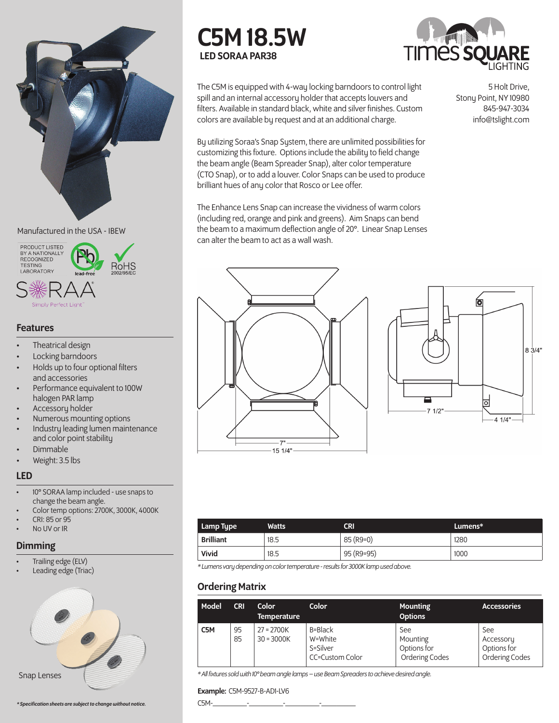

#### Manufactured in the USA - IBEW



#### Perfect Light

#### Features

- Theatrical design
- Locking barndoors
- Holds up to four optional filters and accessories
- Performance equivalent to 100W halogen PAR lamp
- Accessory holder
- Numerous mounting options
- Industry leading lumen maintenance and color point stability
- Dimmable
- Weight: 3.5 lbs

## LED

- 10° SORAA lamp included use snaps to change the beam angle.
- Color temp options: 2700K, 3000K, 4000K
- CRI: 85 or 95 No UV or IR
- 

# **Dimming**

- Trailing edge (ELV)
- Leading edge (Triac)







5 Holt Drive,

Stony Point, NY 10980 845-947-3034 info@tslight.com

The C5M is equipped with 4-way locking barndoors to control light spill and an internal accessory holder that accepts louvers and filters. Available in standard black, white and silver finishes. Custom colors are available by request and at an additional charge.

By utilizing Soraa's Snap System, there are unlimited possibilities for customizing this fixture. Options include the ability to field change the beam angle (Beam Spreader Snap), alter color temperature (CTO Snap), or to add a louver. Color Snaps can be used to produce brilliant hues of any color that Rosco or Lee offer.

The Enhance Lens Snap can increase the vividness of warm colors (including red, orange and pink and greens). Aim Snaps can bend the beam to a maximum deflection angle of 20°. Linear Snap Lenses can alter the beam to act as a wall wash.





 $41/4"$ 

| Lamp Type        | <b>Watts</b> | <b>CRI</b> | Lumens* |
|------------------|--------------|------------|---------|
| <b>Brilliant</b> | 18.5         | 85 (R9=0)  | 1280    |
| Vivid            | 18.5         | 95 (R9=95) | 1000    |

*\* Lumens vary depending on color temperature - results for 3000K lamp used above.*

## Ordering Matrix

| Model            | <b>CRI</b> | Color<br><b>Temperature</b>  | Color                                             | <b>Mounting</b><br><b>Options</b>                       | <b>Accessories</b>                                       |
|------------------|------------|------------------------------|---------------------------------------------------|---------------------------------------------------------|----------------------------------------------------------|
| C <sub>5</sub> M | 95<br>85   | $27 = 2700K$<br>$30 = 3000K$ | B=Black<br>W=White<br>S=Silver<br>CC=Custom Color | See<br>Mounting<br>Options for<br><b>Ordering Codes</b> | See<br>Accessory<br>Options for<br><b>Ordering Codes</b> |

*\* All fixtures sold with 10° beam angle lamps – use Beam Spreaders to achieve desired angle.*

#### Example: C5M-9527-B-AD1-LV6

C5M-\_\_\_\_\_\_\_\_\_-\_\_\_\_\_\_\_\_\_-\_\_\_\_\_\_\_\_\_-\_\_\_\_\_\_\_\_\_